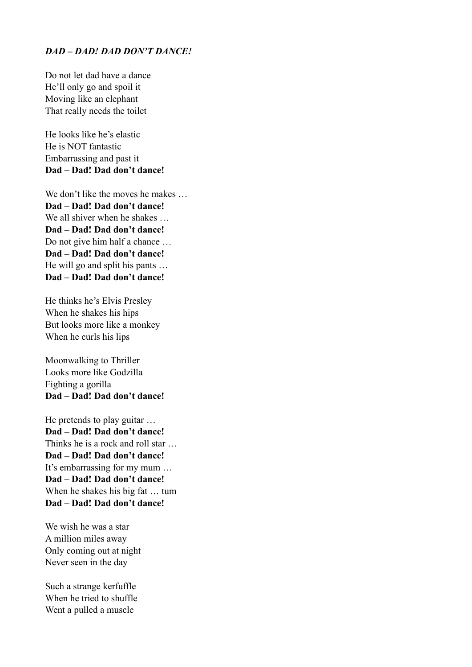## *DAD – DAD! DAD DON'T DANCE!*

Do not let dad have a dance He'll only go and spoil it Moving like an elephant That really needs the toilet

He looks like he's elastic He is NOT fantastic Embarrassing and past it **Dad – Dad! Dad don't dance!**

We don't like the moves he makes ... **Dad – Dad! Dad don't dance!**  We all shiver when he shakes ... **Dad – Dad! Dad don't dance!**  Do not give him half a chance … **Dad – Dad! Dad don't dance!**  He will go and split his pants … **Dad – Dad! Dad don't dance!** 

He thinks he's Elvis Presley When he shakes his hips But looks more like a monkey When he curls his lips

Moonwalking to Thriller Looks more like Godzilla Fighting a gorilla **Dad – Dad! Dad don't dance!** 

He pretends to play guitar … **Dad – Dad! Dad don't dance!**  Thinks he is a rock and roll star … **Dad – Dad! Dad don't dance!**  It's embarrassing for my mum … **Dad – Dad! Dad don't dance!**  When he shakes his big fat … tum **Dad – Dad! Dad don't dance!** 

We wish he was a star A million miles away Only coming out at night Never seen in the day

Such a strange kerfuffle When he tried to shuffle Went a pulled a muscle